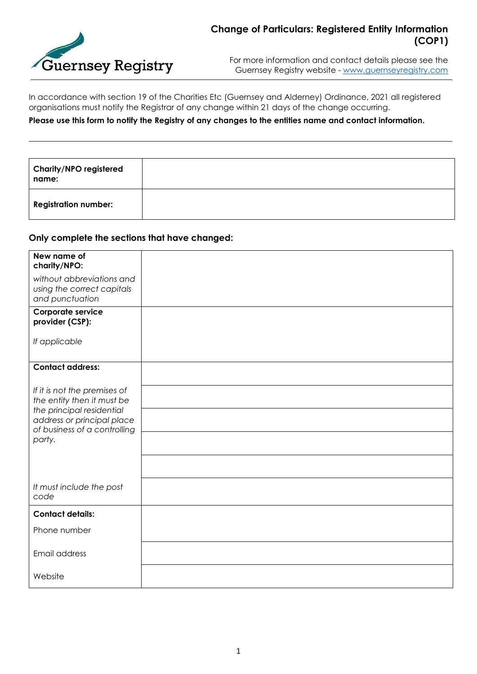

For more information and contact details please see the Guernsey Registry website - [www.guernseyregistry.com](http://www.guernseyregistry.com/)

In accordance with section 19 of the Charities Etc (Guernsey and Alderney) Ordinance, 2021 all registered organisations must notify the Registrar of any change within 21 days of the change occurring.

## **Please use this form to notify the Registry of any changes to the entities name and contact information.**

| Charity/NPO registered<br>name: |  |
|---------------------------------|--|
| <b>Registration number:</b>     |  |

## **Only complete the sections that have changed:**

| New name of                  |  |
|------------------------------|--|
|                              |  |
| charity/NPO:                 |  |
| without abbreviations and    |  |
| using the correct capitals   |  |
| and punctuation              |  |
|                              |  |
| Corporate service            |  |
| provider (CSP):              |  |
|                              |  |
| If applicable                |  |
|                              |  |
|                              |  |
| <b>Contact address:</b>      |  |
|                              |  |
|                              |  |
| If it is not the premises of |  |
| the entity then it must be   |  |
| the principal residential    |  |
| address or principal place   |  |
| of business of a controlling |  |
| party.                       |  |
|                              |  |
|                              |  |
|                              |  |
|                              |  |
| It must include the post     |  |
| code                         |  |
|                              |  |
| <b>Contact details:</b>      |  |
|                              |  |
| Phone number                 |  |
|                              |  |
| Email address                |  |
|                              |  |
|                              |  |
| Website                      |  |
|                              |  |